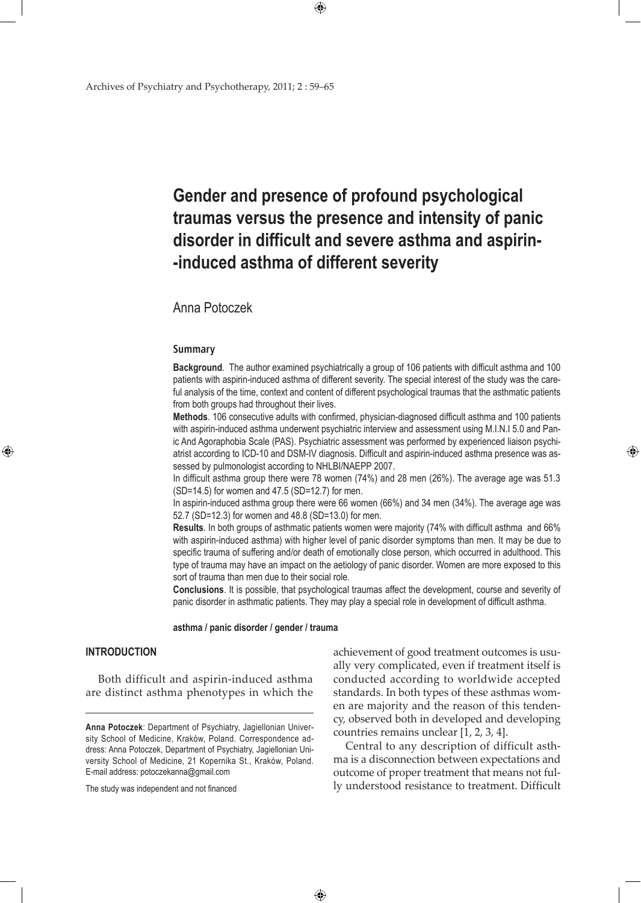# **Gender and presence of profound psychological traumas versus the presence and intensity of panic disorder in difficult and severe asthma and aspirin- -induced asthma of different severity**

 $\bigoplus$ 

# Anna Potoczek

### **Summary**

**Background**. The author examined psychiatrically a group of 106 patients with difficult asthma and 100 patients with aspirin-induced asthma of different severity. The special interest of the study was the careful analysis of the time, context and content of different psychological traumas that the asthmatic patients from both groups had throughout their lives.

**Methods**. 106 consecutive adults with confirmed, physician-diagnosed difficult asthma and 100 patients with aspirin-induced asthma underwent psychiatric interview and assessment using M.I.N.I 5.0 and Panic And Agoraphobia Scale (PAS). Psychiatric assessment was performed by experienced liaison psychiatrist according to ICD-10 and DSM-IV diagnosis. Difficult and aspirin-induced asthma presence was assessed by pulmonologist according to NHLBI/NAEPP 2007.

In difficult asthma group there were 78 women (74%) and 28 men (26%). The average age was 51.3 (SD=14.5) for women and 47.5 (SD=12.7) for men.

In aspirin-induced asthma group there were 66 women (66%) and 34 men (34%). The average age was 52.7 (SD=12.3) for women and 48.8 (SD=13.0) for men.

**Results**. In both groups of asthmatic patients women were majority (74% with difficult asthma and 66% with aspirin-induced asthma) with higher level of panic disorder symptoms than men. It may be due to specific trauma of suffering and/or death of emotionally close person, which occurred in adulthood. This type of trauma may have an impact on the aetiology of panic disorder. Women are more exposed to this sort of trauma than men due to their social role.

**Conclusions**. It is possible, that psychological traumas affect the development, course and severity of panic disorder in asthmatic patients. They may play a special role in development of difficult asthma.

 $\bigoplus$ 

**asthma / panic disorder / gender / trauma**

## **INTRODUCTION**

⊕

 Both difficult and aspirin-induced asthma are distinct asthma phenotypes in which the

The study was independent and not financed

achievement of good treatment outcomes is usually very complicated, even if treatment itself is conducted according to worldwide accepted standards. In both types of these asthmas women are majority and the reason of this tendency, observed both in developed and developing countries remains unclear [1, 2, 3, 4].

⊕

 Central to any description of difficult asthma is a disconnection between expectations and outcome of proper treatment that means not fully understood resistance to treatment. Difficult

**Anna Potoczek**: Department of Psychiatry, Jagiellonian University School of Medicine, Kraków, Poland. Correspondence address: Anna Potoczek, Department of Psychiatry, Jagiellonian University School of Medicine, 21 Kopernika St., Kraków, Poland. E-mail address: potoczekanna@gmail.com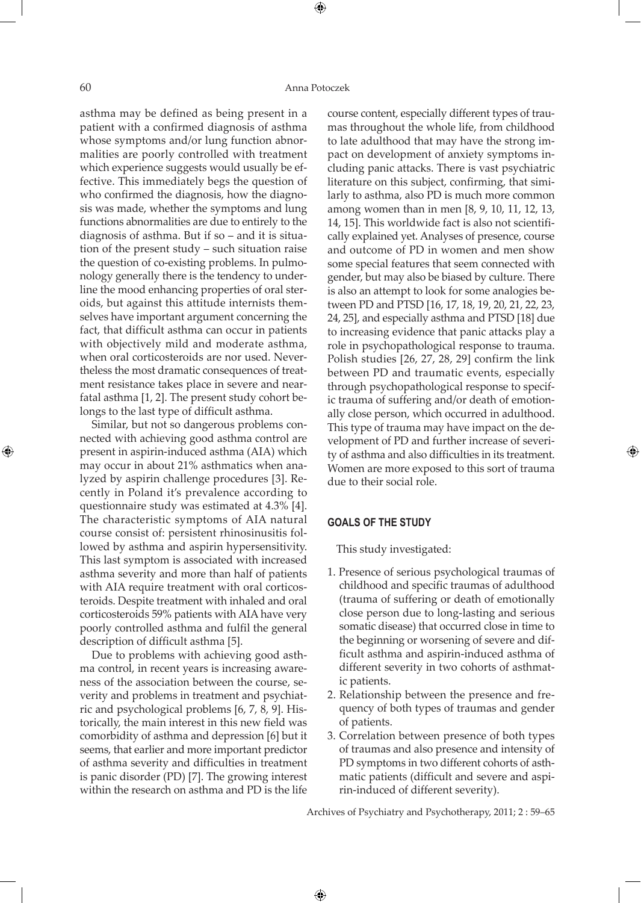⊕

⊕

asthma may be defined as being present in a patient with a confirmed diagnosis of asthma whose symptoms and/or lung function abnormalities are poorly controlled with treatment which experience suggests would usually be effective. This immediately begs the question of who confirmed the diagnosis, how the diagnosis was made, whether the symptoms and lung functions abnormalities are due to entirely to the diagnosis of asthma. But if so – and it is situation of the present study – such situation raise the question of co-existing problems. In pulmonology generally there is the tendency to underline the mood enhancing properties of oral steroids, but against this attitude internists themselves have important argument concerning the fact, that difficult asthma can occur in patients with objectively mild and moderate asthma, when oral corticosteroids are nor used. Nevertheless the most dramatic consequences of treatment resistance takes place in severe and nearfatal asthma [1, 2]. The present study cohort belongs to the last type of difficult asthma.

 Similar, but not so dangerous problems connected with achieving good asthma control are present in aspirin-induced asthma (AIA) which may occur in about 21% asthmatics when analyzed by aspirin challenge procedures [3]. Recently in Poland it's prevalence according to questionnaire study was estimated at 4.3% [4]. The characteristic symptoms of AIA natural course consist of: persistent rhinosinusitis followed by asthma and aspirin hypersensitivity. This last symptom is associated with increased asthma severity and more than half of patients with AIA require treatment with oral corticosteroids. Despite treatment with inhaled and oral corticosteroids 59% patients with AIA have very poorly controlled asthma and fulfil the general description of difficult asthma [5].

 Due to problems with achieving good asthma control, in recent years is increasing awareness of the association between the course, severity and problems in treatment and psychiatric and psychological problems [6, 7, 8, 9]. Historically, the main interest in this new field was comorbidity of asthma and depression [6] but it seems, that earlier and more important predictor of asthma severity and difficulties in treatment is panic disorder (PD) [7]. The growing interest within the research on asthma and PD is the life

course content, especially different types of traumas throughout the whole life, from childhood to late adulthood that may have the strong impact on development of anxiety symptoms including panic attacks. There is vast psychiatric literature on this subject, confirming, that similarly to asthma, also PD is much more common among women than in men [8, 9, 10, 11, 12, 13, 14, 15]. This worldwide fact is also not scientifically explained yet. Analyses of presence, course and outcome of PD in women and men show some special features that seem connected with gender, but may also be biased by culture. There is also an attempt to look for some analogies between PD and PTSD [16, 17, 18, 19, 20, 21, 22, 23, 24, 25], and especially asthma and PTSD [18] due to increasing evidence that panic attacks play a role in psychopathological response to trauma. Polish studies [26, 27, 28, 29] confirm the link between PD and traumatic events, especially through psychopathological response to specific trauma of suffering and/or death of emotionally close person, which occurred in adulthood. This type of trauma may have impact on the development of PD and further increase of severity of asthma and also difficulties in its treatment. Women are more exposed to this sort of trauma due to their social role.

⊕

## **GOALS OF THE STUDY**

This study investigated:

- 1. Presence of serious psychological traumas of childhood and specific traumas of adulthood (trauma of suffering or death of emotionally close person due to long-lasting and serious somatic disease) that occurred close in time to the beginning or worsening of severe and difficult asthma and aspirin-induced asthma of different severity in two cohorts of asthmatic patients.
- 2. Relationship between the presence and frequency of both types of traumas and gender of patients.
- 3. Correlation between presence of both types of traumas and also presence and intensity of PD symptoms in two different cohorts of asthmatic patients (difficult and severe and aspirin-induced of different severity).

Archives of Psychiatry and Psychotherapy, 2011; 2 : 59–65

 $\bigoplus$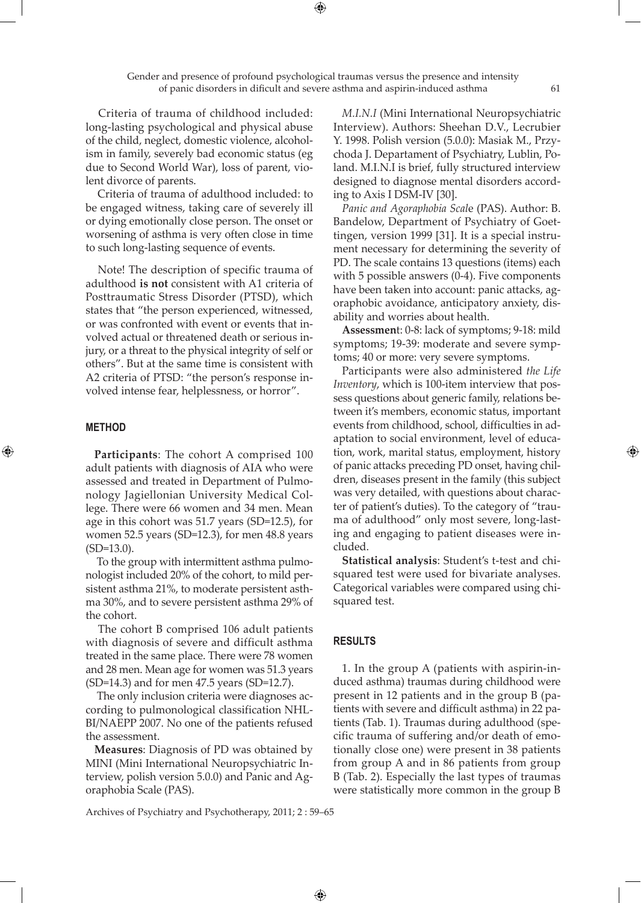Gender and presence of profound psychological traumas versus the presence and intensity of panic disorders in dificult and severe asthma and aspirin-induced asthma 61

⊕

 Criteria of trauma of childhood included: long-lasting psychological and physical abuse of the child, neglect, domestic violence, alcoholism in family, severely bad economic status (eg due to Second World War), loss of parent, violent divorce of parents.

 Criteria of trauma of adulthood included: to be engaged witness, taking care of severely ill or dying emotionally close person. The onset or worsening of asthma is very often close in time to such long-lasting sequence of events.

 Note! The description of specific trauma of adulthood **is not** consistent with A1 criteria of Posttraumatic Stress Disorder (PTSD), which states that "the person experienced, witnessed, or was confronted with event or events that involved actual or threatened death or serious injury, or a threat to the physical integrity of self or others". But at the same time is consistent with A2 criteria of PTSD: "the person's response involved intense fear, helplessness, or horror".

### **METHOD**

⊕

**Participants**: The cohort A comprised 100 adult patients with diagnosis of AIA who were assessed and treated in Department of Pulmonology Jagiellonian University Medical College. There were 66 women and 34 men. Mean age in this cohort was 51.7 years (SD=12.5), for women 52.5 years (SD=12.3), for men 48.8 years (SD=13.0).

 To the group with intermittent asthma pulmonologist included 20% of the cohort, to mild persistent asthma 21%, to moderate persistent asthma 30%, and to severe persistent asthma 29% of the cohort.

 The cohort B comprised 106 adult patients with diagnosis of severe and difficult asthma treated in the same place. There were 78 women and 28 men. Mean age for women was 51.3 years (SD=14.3) and for men 47.5 years (SD=12.7).

 The only inclusion criteria were diagnoses according to pulmonological classification NHL-BI/NAEPP 2007. No one of the patients refused the assessment.

**Measures**: Diagnosis of PD was obtained by MINI (Mini International Neuropsychiatric Interview, polish version 5.0.0) and Panic and Agoraphobia Scale (PAS).

*M.I.N.I* (Mini International Neuropsychiatric Interview). Authors: Sheehan D.V., Lecrubier Y. 1998. Polish version (5.0.0): Masiak M., Przychoda J. Departament of Psychiatry, Lublin, Poland. M.I.N.I is brief, fully structured interview designed to diagnose mental disorders according to Axis I DSM-IV [30].

*Panic and Agoraphobia Scal*e (PAS). Author: B. Bandelow, Department of Psychiatry of Goettingen, version 1999 [31]. It is a special instrument necessary for determining the severity of PD. The scale contains 13 questions (items) each with 5 possible answers (0-4). Five components have been taken into account: panic attacks, agoraphobic avoidance, anticipatory anxiety, disability and worries about health.

**Assessmen**t: 0-8: lack of symptoms; 9-18: mild symptoms; 19-39: moderate and severe symptoms; 40 or more: very severe symptoms.

Participants were also administered *the Life Inventory*, which is 100-item interview that possess questions about generic family, relations between it's members, economic status, important events from childhood, school, difficulties in adaptation to social environment, level of education, work, marital status, employment, history of panic attacks preceding PD onset, having children, diseases present in the family (this subject was very detailed, with questions about character of patient's duties). To the category of "trauma of adulthood" only most severe, long-lasting and engaging to patient diseases were included.

**Statistical analysis**: Student's t-test and chisquared test were used for bivariate analyses. Categorical variables were compared using chisquared test.

## **RESULTS**

 $\bigoplus$ 

1. In the group A (patients with aspirin-induced asthma) traumas during childhood were present in 12 patients and in the group B (patients with severe and difficult asthma) in 22 patients (Tab. 1). Traumas during adulthood (specific trauma of suffering and/or death of emotionally close one) were present in 38 patients from group A and in 86 patients from group B (Tab. 2). Especially the last types of traumas were statistically more common in the group B

Archives of Psychiatry and Psychotherapy, 2011; 2 : 59–65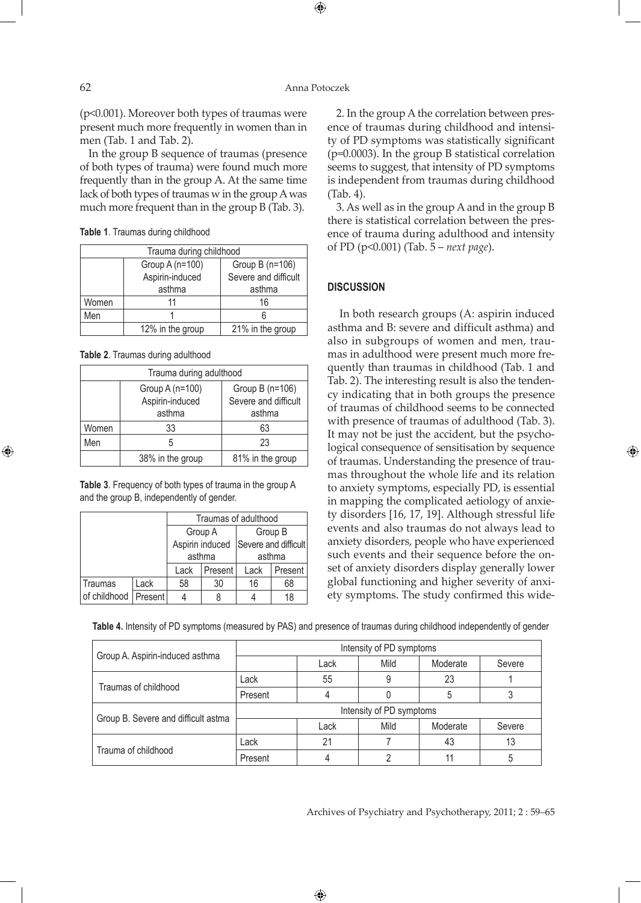$\bigoplus$ 

(p<0.001). Moreover both types of traumas were present much more frequently in women than in men (Tab. 1 and Tab. 2).

In the group B sequence of traumas (presence of both types of trauma) were found much more frequently than in the group A. At the same time lack of both types of traumas w in the group A was much more frequent than in the group B (Tab. 3).

| <b>Table 1.</b> Traumas during childhood |  |
|------------------------------------------|--|
|------------------------------------------|--|

| Trauma during childhood |                  |                      |  |  |
|-------------------------|------------------|----------------------|--|--|
|                         | Group A (n=100)  | Group B (n=106)      |  |  |
|                         | Aspirin-induced  | Severe and difficult |  |  |
|                         | asthma           | asthma               |  |  |
| Women                   |                  | 16                   |  |  |
| Men                     |                  |                      |  |  |
|                         | 12% in the group | 21% in the group     |  |  |

**Table 2**. Traumas during adulthood

| Trauma during adulthood |                                              |                                                   |  |  |
|-------------------------|----------------------------------------------|---------------------------------------------------|--|--|
|                         | Group A (n=100)<br>Aspirin-induced<br>asthma | Group B (n=106)<br>Severe and difficult<br>asthma |  |  |
| Women                   | 33                                           | 63                                                |  |  |
| Men                     | 5                                            | 23                                                |  |  |
|                         | 38% in the group                             | 81% in the group                                  |  |  |

**Table 3**. Frequency of both types of trauma in the group A and the group B, independently of gender.

|              |         | Traumas of adulthood |         |                                      |         |  |
|--------------|---------|----------------------|---------|--------------------------------------|---------|--|
|              |         |                      | Group A | Group B                              |         |  |
|              |         |                      |         | Aspirin induced Severe and difficult |         |  |
|              |         | asthma               |         | asthma                               |         |  |
|              |         | Present I<br>Lack    |         | Lack                                 | Present |  |
| Traumas      | Lack    | 58                   | 30      | 16                                   | 68      |  |
| of childhood | Present |                      |         |                                      | 18      |  |

2. In the group A the correlation between presence of traumas during childhood and intensity of PD symptoms was statistically significant (p=0.0003). In the group B statistical correlation seems to suggest, that intensity of PD symptoms is independent from traumas during childhood

3. As well as in the group A and in the group B there is statistical correlation between the presence of trauma during adulthood and intensity of PD (p<0.001) (Tab. 5 – *next page*).

## **DISCUSSION**

(Tab. 4).

 In both research groups (A: aspirin induced asthma and B: severe and difficult asthma) and also in subgroups of women and men, traumas in adulthood were present much more frequently than traumas in childhood (Tab. 1 and Tab. 2). The interesting result is also the tendency indicating that in both groups the presence of traumas of childhood seems to be connected with presence of traumas of adulthood (Tab. 3). It may not be just the accident, but the psychological consequence of sensitisation by sequence of traumas. Understanding the presence of traumas throughout the whole life and its relation to anxiety symptoms, especially PD, is essential in mapping the complicated aetiology of anxiety disorders [16, 17, 19]. Although stressful life events and also traumas do not always lead to anxiety disorders, people who have experienced such events and their sequence before the onset of anxiety disorders display generally lower global functioning and higher severity of anxiety symptoms. The study confirmed this wide-

**Table 4.** Intensity of PD symptoms (measured by PAS) and presence of traumas during childhood independently of gender

| Group A. Aspirin-induced asthma     | Intensity of PD symptoms |      |      |          |        |
|-------------------------------------|--------------------------|------|------|----------|--------|
|                                     |                          | Lack | Mild | Moderate | Severe |
| Traumas of childhood                | Lack                     | 55   |      | 23       |        |
|                                     | Present                  |      |      | 5        |        |
| Group B. Severe and difficult astma | Intensity of PD symptoms |      |      |          |        |
|                                     |                          | Lack | Mild | Moderate | Severe |
| Trauma of childhood                 | Lack                     | 21   |      | 43       | 13     |
|                                     | Present                  |      |      |          | 5      |

 $\bigoplus$ 

Archives of Psychiatry and Psychotherapy, 2011; 2 : 59–65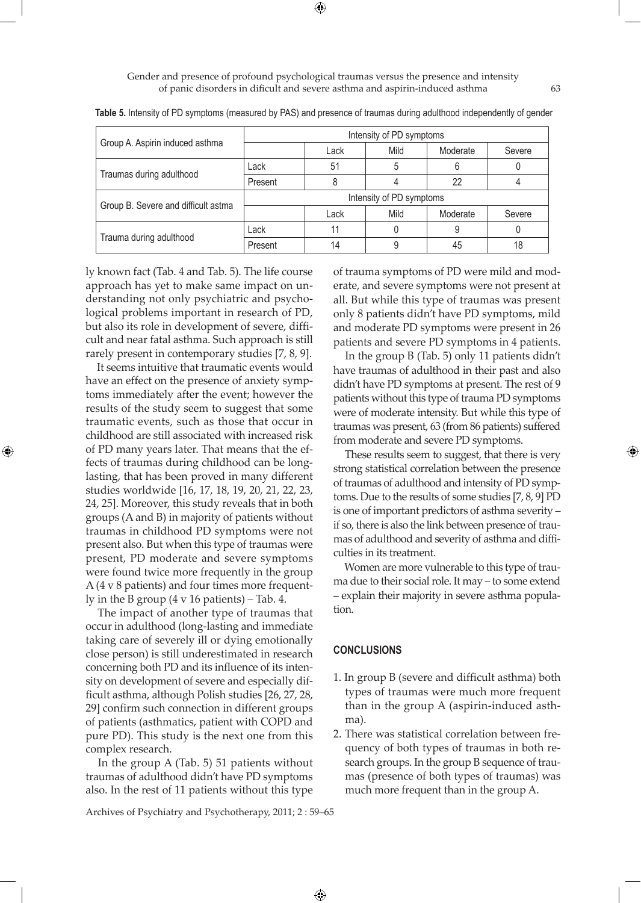⊕

Gender and presence of profound psychological traumas versus the presence and intensity of panic disorders in dificult and severe asthma and aspirin-induced asthma 63

|                                     | Intensity of PD symptoms |      |      |          |        |
|-------------------------------------|--------------------------|------|------|----------|--------|
| Group A. Aspirin induced asthma     |                          | Lack | Mild | Moderate | Severe |
| Traumas during adulthood            | Lack                     | 51   |      |          |        |
|                                     | Present                  |      |      | 22       |        |
| Group B. Severe and difficult astma | Intensity of PD symptoms |      |      |          |        |
|                                     |                          | Lack | Mild | Moderate | Severe |
| Trauma during adulthood             | Lack                     | 11   |      |          |        |
|                                     | Present                  | 14   |      | 45       | 18     |

**Table 5.** Intensity of PD symptoms (measured by PAS) and presence of traumas during adulthood independently of gender

ly known fact (Tab. 4 and Tab. 5). The life course approach has yet to make same impact on understanding not only psychiatric and psychological problems important in research of PD, but also its role in development of severe, difficult and near fatal asthma. Such approach is still rarely present in contemporary studies [7, 8, 9].

 It seems intuitive that traumatic events would have an effect on the presence of anxiety symptoms immediately after the event; however the results of the study seem to suggest that some traumatic events, such as those that occur in childhood are still associated with increased risk of PD many years later. That means that the effects of traumas during childhood can be longlasting, that has been proved in many different studies worldwide [16, 17, 18, 19, 20, 21, 22, 23, 24, 25]. Moreover, this study reveals that in both groups (A and B) in majority of patients without traumas in childhood PD symptoms were not present also. But when this type of traumas were present, PD moderate and severe symptoms were found twice more frequently in the group A (4 v 8 patients) and four times more frequently in the B group (4 v 16 patients) – Tab. 4.

⊕

 The impact of another type of traumas that occur in adulthood (long-lasting and immediate taking care of severely ill or dying emotionally close person) is still underestimated in research concerning both PD and its influence of its intensity on development of severe and especially difficult asthma, although Polish studies [26, 27, 28, 29] confirm such connection in different groups of patients (asthmatics, patient with COPD and pure PD). This study is the next one from this complex research.

 In the group A (Tab. 5) 51 patients without traumas of adulthood didn't have PD symptoms also. In the rest of 11 patients without this type of trauma symptoms of PD were mild and moderate, and severe symptoms were not present at all. But while this type of traumas was present only 8 patients didn't have PD symptoms, mild and moderate PD symptoms were present in 26 patients and severe PD symptoms in 4 patients.

 In the group B (Tab. 5) only 11 patients didn't have traumas of adulthood in their past and also didn't have PD symptoms at present. The rest of 9 patients without this type of trauma PD symptoms were of moderate intensity. But while this type of traumas was present, 63 (from 86 patients) suffered from moderate and severe PD symptoms.

 These results seem to suggest, that there is very strong statistical correlation between the presence of traumas of adulthood and intensity of PD symptoms. Due to the results of some studies [7, 8, 9] PD is one of important predictors of asthma severity – if so, there is also the link between presence of traumas of adulthood and severity of asthma and difficulties in its treatment.

 Women are more vulnerable to this type of trauma due to their social role. It may – to some extend – explain their majority in severe asthma population.

## **CONCLUSIONS**

 $\bigoplus$ 

- 1. In group B (severe and difficult asthma) both types of traumas were much more frequent than in the group A (aspirin-induced asthma).
- 2. There was statistical correlation between frequency of both types of traumas in both research groups. In the group B sequence of traumas (presence of both types of traumas) was much more frequent than in the group A.

Archives of Psychiatry and Psychotherapy, 2011; 2 : 59–65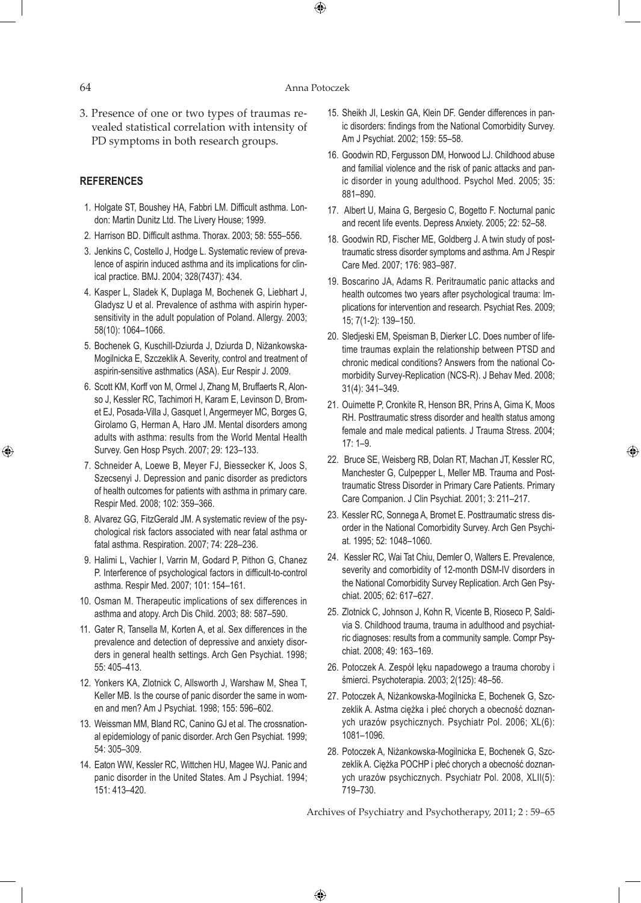#### 64 Anna Potoczek

 $\bigoplus$ 

3. Presence of one or two types of traumas revealed statistical correlation with intensity of PD symptoms in both research groups.

## **REFERENCES**

- 1. Holgate ST, Boushey HA, Fabbri LM. Difficult asthma. London: Martin Dunitz Ltd. The Livery House; 1999.
- 2. Harrison BD. Difficult asthma. Thorax. 2003; 58: 555–556.
- 3. Jenkins C, Costello J, Hodge L. Systematic review of prevalence of aspirin induced asthma and its implications for clinical practice. BMJ. 2004; 328(7437): 434.
- 4. Kasper L, Sladek K, Duplaga M, Bochenek G, Liebhart J, Gladysz U et al. Prevalence of asthma with aspirin hypersensitivity in the adult population of Poland. Allergy. 2003; 58(10): 1064–1066.
- 5. Bochenek G, Kuschill-Dziurda J, Dziurda D, Niżankowska-Mogilnicka E, Szczeklik A. Severity, control and treatment of aspirin-sensitive asthmatics (ASA). Eur Respir J. 2009.
- 6. Scott KM, Korff von M, Ormel J, Zhang M, Bruffaerts R, Alonso J, Kessler RC, Tachimori H, Karam E, Levinson D, Bromet EJ, Posada-Villa J, Gasquet I, Angermeyer MC, Borges G, Girolamo G, Herman A, Haro JM. Mental disorders among adults with asthma: results from the World Mental Health Survey. Gen Hosp Psych. 2007; 29: 123–133.
- 7. Schneider A, Loewe B, Meyer FJ, Biessecker K, Joos S, Szecsenyi J. Depression and panic disorder as predictors of health outcomes for patients with asthma in primary care. Respir Med. 2008; 102: 359–366.
- 8. Alvarez GG, FitzGerald JM. A systematic review of the psychological risk factors associated with near fatal asthma or fatal asthma. Respiration. 2007; 74: 228–236.
- 9. Halimi L, Vachier I, Varrin M, Godard P, Pithon G, Chanez P. Interference of psychological factors in difficult-to-control asthma. Respir Med. 2007; 101: 154–161.
- 10. Osman M. Therapeutic implications of sex differences in asthma and atopy. Arch Dis Child. 2003; 88: 587–590.
- 11. Gater R, Tansella M, Korten A, et al. Sex differences in the prevalence and detection of depressive and anxiety disorders in general health settings. Arch Gen Psychiat. 1998; 55: 405–413.
- 12. Yonkers KA, Zlotnick C, Allsworth J, Warshaw M, Shea T, Keller MB. Is the course of panic disorder the same in women and men? Am J Psychiat. 1998; 155: 596–602.
- 13. Weissman MM, Bland RC, Canino GJ et al. The crossnational epidemiology of panic disorder. Arch Gen Psychiat. 1999; 54: 305–309.
- 14. Eaton WW, Kessler RC, Wittchen HU, Magee WJ. Panic and panic disorder in the United States. Am J Psychiat. 1994; 151: 413–420.
- 15. Sheikh JI, Leskin GA, Klein DF. Gender differences in panic disorders: findings from the National Comorbidity Survey. Am J Psychiat. 2002; 159: 55–58.
- 16. Goodwin RD, Fergusson DM, Horwood LJ. Childhood abuse and familial violence and the risk of panic attacks and panic disorder in young adulthood. Psychol Med. 2005; 35: 881–890.
- 17. Albert U, Maina G, Bergesio C, Bogetto F. Nocturnal panic and recent life events. Depress Anxiety. 2005; 22: 52–58.
- 18. Goodwin RD, Fischer ME, Goldberg J. A twin study of posttraumatic stress disorder symptoms and asthma. Am J Respir Care Med. 2007; 176: 983–987.
- 19. Boscarino JA, Adams R. Peritraumatic panic attacks and health outcomes two years after psychological trauma: Implications for intervention and research. Psychiat Res. 2009; 15; 7(1-2): 139–150.
- 20. Sledjeski EM, Speisman B, Dierker LC. Does number of lifetime traumas explain the relationship between PTSD and chronic medical conditions? Answers from the national Comorbidity Survey-Replication (NCS-R). J Behav Med. 2008; 31(4): 341–349.
- 21. Ouimette P, Cronkite R, Henson BR, Prins A, Gima K, Moos RH. Posttraumatic stress disorder and health status among female and male medical patients. J Trauma Stress. 2004; 17: 1–9.

⊕

- 22. Bruce SE, Weisberg RB, Dolan RT, Machan JT, Kessler RC, Manchester G, Culpepper L, Meller MB. Trauma and Posttraumatic Stress Disorder in Primary Care Patients. Primary Care Companion. J Clin Psychiat. 2001; 3: 211–217.
- 23. Kessler RC, Sonnega A, Bromet E. Posttraumatic stress disorder in the National Comorbidity Survey. Arch Gen Psychiat. 1995; 52: 1048–1060.
- 24. Kessler RC, Wai Tat Chiu, Demler O, Walters E. Prevalence, severity and comorbidity of 12-month DSM-IV disorders in the National Comorbidity Survey Replication. Arch Gen Psychiat. 2005; 62: 617–627.
- 25. Zlotnick C, Johnson J, Kohn R, Vicente B, Rioseco P, Saldivia S. Childhood trauma, trauma in adulthood and psychiatric diagnoses: results from a community sample. Compr Psychiat. 2008; 49: 163–169.
- 26. Potoczek A. Zespół lęku napadowego a trauma choroby i śmierci. Psychoterapia. 2003; 2(125): 48–56.
- 27. Potoczek A, Niżankowska-Mogilnicka E, Bochenek G, Szczeklik A. Astma ciężka i płeć chorych a obecność doznanych urazów psychicznych. Psychiatr Pol. 2006; XL(6): 1081–1096.
- 28. Potoczek A, Niżankowska-Mogilnicka E, Bochenek G, Szczeklik A. Ciężka POCHP i płeć chorych a obecność doznanych urazów psychicznych. Psychiatr Pol. 2008, XLII(5): 719–730.

Archives of Psychiatry and Psychotherapy, 2011; 2 : 59–65

 $\bigoplus$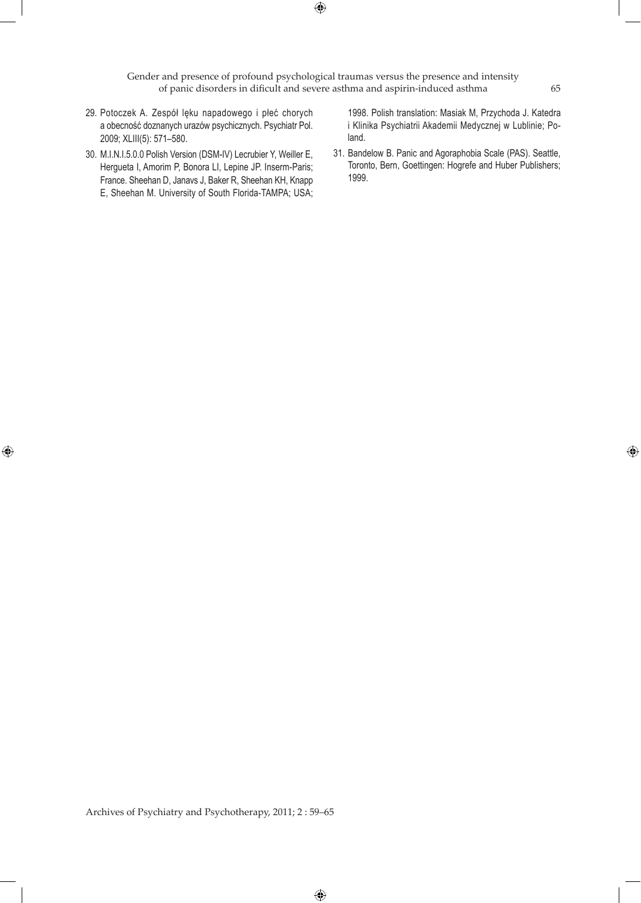Gender and presence of profound psychological traumas versus the presence and intensity of panic disorders in dificult and severe asthma and aspirin-induced asthma 65

 $\bigoplus$ 

- 29. Potoczek A. Zespół lęku napadowego i płeć chorych a obecność doznanych urazów psychicznych. Psychiatr Pol. 2009; XLIII(5): 571–580.
- 30. M.I.N.I.5.0.0 Polish Version (DSM-IV) Lecrubier Y, Weiller E, Hergueta I, Amorim P, Bonora LI, Lepine JP. Inserm-Paris; France. Sheehan D, Janavs J, Baker R, Sheehan KH, Knapp E, Sheehan M. University of South Florida-TAMPA; USA;

 $\bigoplus$ 

1998. Polish translation: Masiak M, Przychoda J. Katedra i Klinika Psychiatrii Akademii Medycznej w Lublinie; Poland.

31. Bandelow B. Panic and Agoraphobia Scale (PAS). Seattle, Toronto, Bern, Goettingen: Hogrefe and Huber Publishers; 1999.

Archives of Psychiatry and Psychotherapy, 2011; 2 : 59–65

 $\bigoplus$